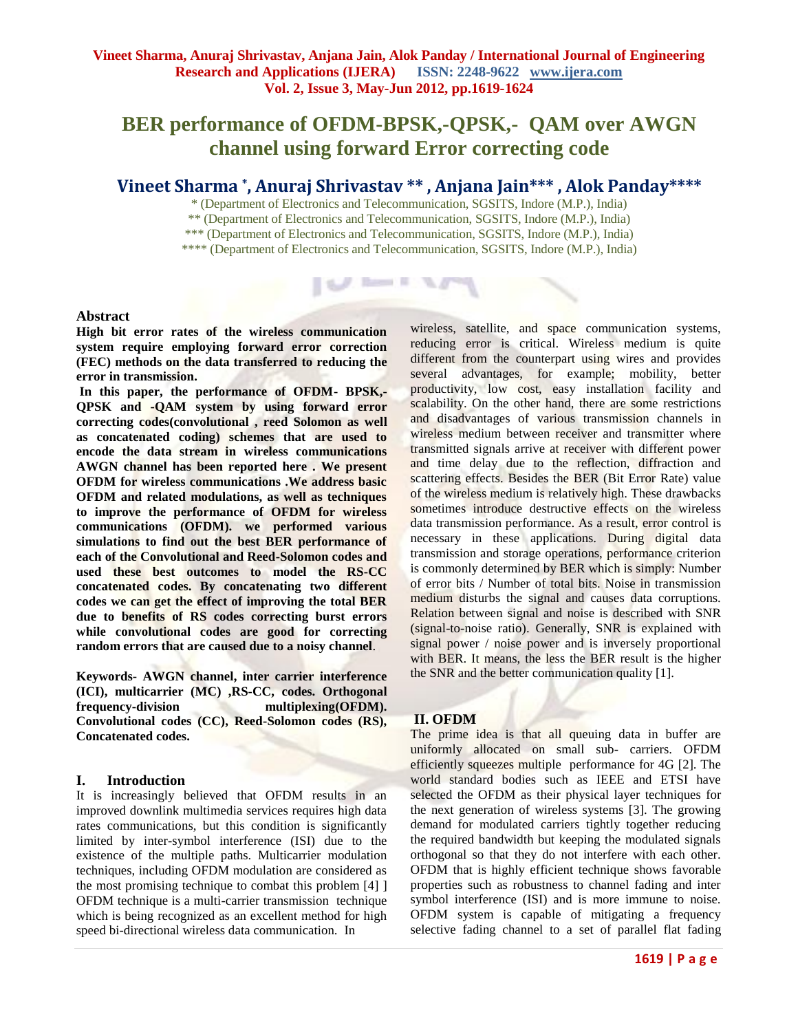# **BER performance of OFDM-BPSK,-QPSK,- QAM over AWGN channel using forward Error correcting code**

## **Vineet Sharma \* , Anuraj Shrivastav \*\* , Anjana Jain\*\*\* , Alok Panday\*\*\*\***

\* (Department of Electronics and Telecommunication, SGSITS, Indore (M.P.), India)

\*\* (Department of Electronics and Telecommunication, SGSITS, Indore (M.P.), India)

\*\*\* (Department of Electronics and Telecommunication, SGSITS, Indore (M.P.), India)

**I Suff. Room in** 

\*\*\*\* (Department of Electronics and Telecommunication, SGSITS, Indore (M.P.), India)

## **Abstract**

**High bit error rates of the wireless communication system require employing forward error correction (FEC) methods on the data transferred to reducing the error in transmission.** 

**In this paper, the performance of OFDM- BPSK,- QPSK and -QAM system by using forward error correcting codes(convolutional , reed Solomon as well as concatenated coding) schemes that are used to encode the data stream in wireless communications AWGN channel has been reported here . We present OFDM for wireless communications .We address basic OFDM and related modulations, as well as techniques to improve the performance of OFDM for wireless communications (OFDM). we performed various simulations to find out the best BER performance of each of the Convolutional and Reed-Solomon codes and used these best outcomes to model the RS-CC concatenated codes. By concatenating two different codes we can get the effect of improving the total BER due to benefits of RS codes correcting burst errors while convolutional codes are good for correcting random errors that are caused due to a noisy channel**.

**Keywords- AWGN channel, inter carrier interference (ICI), multicarrier (MC) ,RS-CC, codes. Orthogonal frequency-division multiplexing(OFDM). Convolutional codes (CC), Reed-Solomon codes (RS), Concatenated codes.**

## **I. Introduction**

It is increasingly believed that OFDM results in an improved downlink multimedia services requires high data rates communications, but this condition is significantly limited by inter-symbol interference (ISI) due to the existence of the multiple paths. Multicarrier modulation techniques, including OFDM modulation are considered as the most promising technique to combat this problem [4] ] OFDM technique is a multi-carrier transmission technique which is being recognized as an excellent method for high speed bi-directional wireless data communication. In

wireless, satellite, and space communication systems, reducing error is critical. Wireless medium is quite different from the counterpart using wires and provides several advantages, for example; mobility, better productivity, low cost, easy installation facility and scalability. On the other hand, there are some restrictions and disadvantages of various transmission channels in wireless medium between receiver and transmitter where transmitted signals arrive at receiver with different power and time delay due to the reflection, diffraction and scattering effects. Besides the BER (Bit Error Rate) value of the wireless medium is relatively high. These drawbacks sometimes introduce destructive effects on the wireless data transmission performance. As a result, error control is necessary in these applications. During digital data transmission and storage operations, performance criterion is commonly determined by BER which is simply: Number of error bits / Number of total bits. Noise in transmission medium disturbs the signal and causes data corruptions. Relation between signal and noise is described with SNR (signal-to-noise ratio). Generally, SNR is explained with signal power / noise power and is inversely proportional with BER. It means, the less the BER result is the higher the SNR and the better communication quality [1].

## **II. OFDM**

The prime idea is that all queuing data in buffer are uniformly allocated on small sub- carriers. OFDM efficiently squeezes multiple performance for 4G [2]. The world standard bodies such as IEEE and ETSI have selected the OFDM as their physical layer techniques for the next generation of wireless systems [3]. The growing demand for modulated carriers tightly together reducing the required bandwidth but keeping the modulated signals orthogonal so that they do not interfere with each other. OFDM that is highly efficient technique shows favorable properties such as robustness to channel fading and inter symbol interference (ISI) and is more immune to noise. OFDM system is capable of mitigating a frequency selective fading channel to a set of parallel flat fading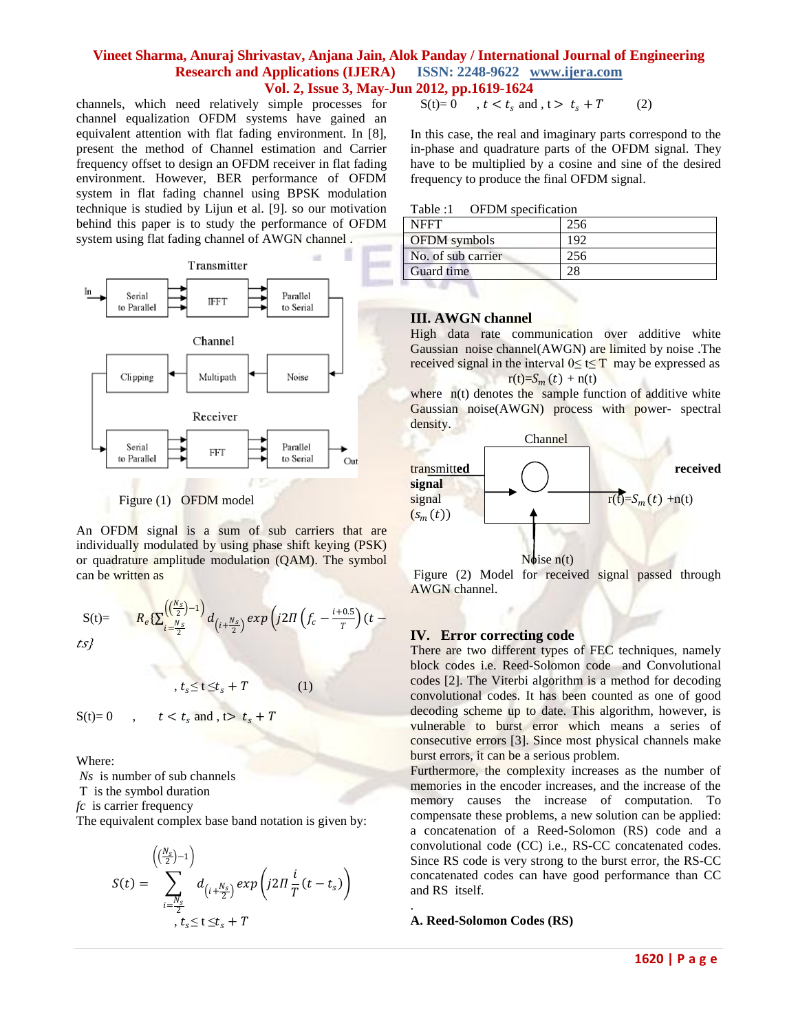channels, which need relatively simple processes for channel equalization OFDM systems have gained an equivalent attention with flat fading environment. In [8], present the method of Channel estimation and Carrier frequency offset to design an OFDM receiver in flat fading environment. However, BER performance of OFDM system in flat fading channel using BPSK modulation technique is studied by Lijun et al. [9]. so our motivation behind this paper is to study the performance of OFDM system using flat fading channel of AWGN channel.



Figure (1) OFDM model

An OFDM signal is a sum of sub carriers that are individually modulated by using phase shift keying (PSK) or quadrature amplitude modulation (QAM). The symbol can be written as

$$
S(t)=\qquad R_e \{ \sum_{i=\frac{N_s}{2}}^{\left(\frac{(N_s}{2})-1\right)} d_{\left(i+\frac{N_s}{2}\right)} \exp \left(j2\pi \left(f_c-\frac{i+0.5}{\tau}\right) (t-\frac{N_s}{2})\right)\}
$$

 $t_s \le t \le t_s + T$  (1)

$$
S(t)=0 \qquad , \qquad t < t_s \text{ and }, t > t_s + T
$$

Where:

*Ns* is number of sub channels

T is the symbol duration

*fc* is carrier frequency

The equivalent complex base band notation is given by:

$$
S(t) = \sum_{\substack{i=-\frac{N_s}{2} \\ i \neq \frac{N_s}{2}}}^{(\frac{N_s}{2})-1} d_{\left(i+\frac{N_s}{2}\right)} \exp\left(j2\pi \frac{i}{T}(t-t_s)\right)
$$

$$
S(t)=0 \t, t < t_s \text{ and } t > t_s + T \t(2)
$$

In this case, the real and imaginary parts correspond to the in-phase and quadrature parts of the OFDM signal. They have to be multiplied by a cosine and sine of the desired frequency to produce the final OFDM signal.

| Table:1 |  | OFDM specification |
|---------|--|--------------------|
|---------|--|--------------------|

| <b>NFFT</b>         | 256 |
|---------------------|-----|
| <b>OFDM</b> symbols | 192 |
| No. of sub carrier  | 256 |
| Guard time          |     |

## **III. AWGN channel**

High data rate communication over additive white Gaussian noise channel(AWGN) are limited by noise .The received signal in the interval  $0 \le t \le T$  may be expressed as  $r(t)=S_m(t) + n(t)$ 

where  $n(t)$  denotes the sample function of additive white Gaussian noise(AWGN) process with power- spectral density.



## **IV. Error correcting code**

There are two different types of FEC techniques, namely block codes i.e. Reed-Solomon code and Convolutional codes [2]. The Viterbi algorithm is a method for decoding convolutional codes. It has been counted as one of good decoding scheme up to date. This algorithm, however, is vulnerable to burst error which means a series of consecutive errors [3]. Since most physical channels make burst errors, it can be a serious problem.

Furthermore, the complexity increases as the number of memories in the encoder increases, and the increase of the memory causes the increase of computation. To compensate these problems, a new solution can be applied: a concatenation of a Reed-Solomon (RS) code and a convolutional code (CC) i.e., RS-CC concatenated codes. Since RS code is very strong to the burst error, the RS-CC concatenated codes can have good performance than CC and RS itself.

## **A. Reed-Solomon Codes (RS)**

.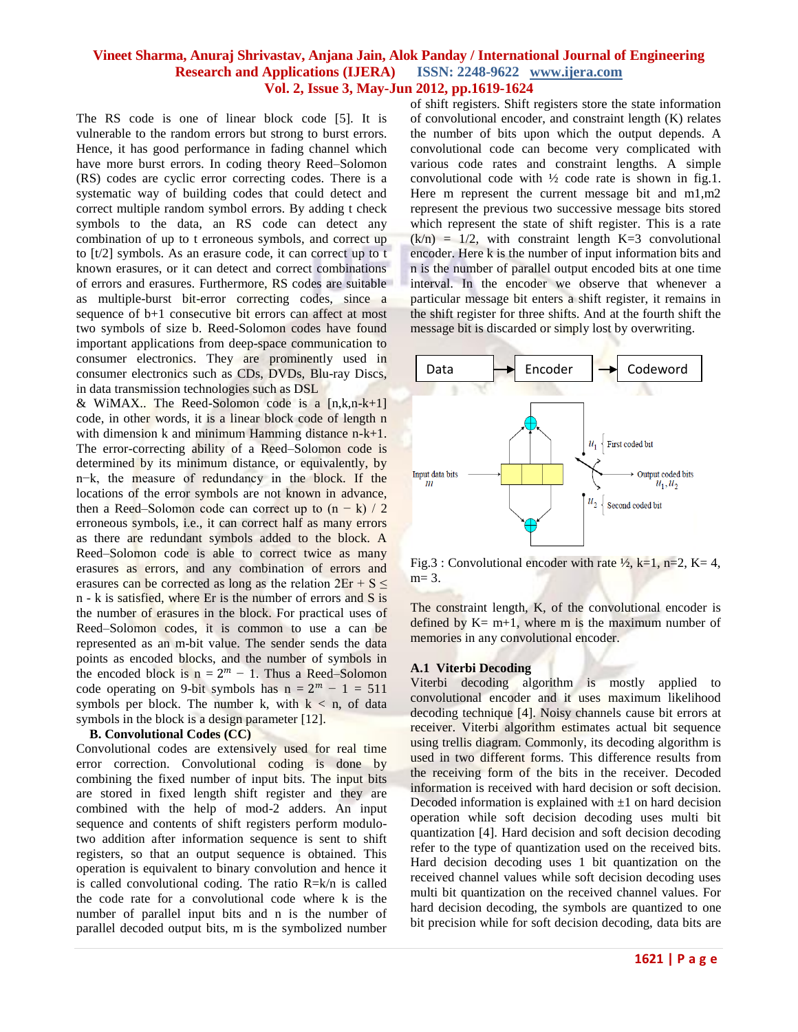The RS code is one of linear block code [5]. It is vulnerable to the random errors but strong to burst errors. Hence, it has good performance in fading channel which have more burst errors. In coding theory Reed–Solomon (RS) codes are cyclic error correcting codes. There is a systematic way of building codes that could detect and correct multiple random symbol errors. By adding t check symbols to the data, an RS code can detect any combination of up to t erroneous symbols, and correct up to [t/2] symbols. As an erasure code, it can correct up to t known erasures, or it can detect and correct combinations of errors and erasures. Furthermore, RS codes are suitable as multiple-burst bit-error correcting codes, since a sequence of b+1 consecutive bit errors can affect at most two symbols of size b. Reed-Solomon codes have found important applications from deep-space communication to consumer electronics. They are prominently used in consumer electronics such as CDs, DVDs, Blu-ray Discs, in data transmission technologies such as DSL

& WiMAX.. The Reed-Solomon code is a  $[n,k,n-k+1]$ code, in other words, it is a linear block code of length n with dimension  $k$  and minimum Hamming distance  $n-k+1$ . The error-correcting ability of a Reed–Solomon code is determined by its minimum distance, or equivalently, by n−k, the measure of redundancy in the block. If the locations of the error symbols are not known in advance, then a Reed–Solomon code can correct up to  $(n - k) / 2$ erroneous symbols, i.e., it can correct half as many errors as there are redundant symbols added to the block. A Reed–Solomon code is able to correct twice as many erasures as errors, and any combination of errors and erasures can be corrected as long as the relation  $2E_r + S \leq$ n - k is satisfied, where Er is the number of errors and S is the number of erasures in the block. For practical uses of Reed–Solomon codes, it is common to use a can be represented as an m-bit value. The sender sends the data points as encoded blocks, and the number of symbols in the encoded block is  $n = 2^m - 1$ . Thus a Reed–Solomon code operating on 9-bit symbols has  $n = 2^m - 1 = 511$ symbols per block. The number k, with  $k < n$ , of data symbols in the block is a design parameter [12].

#### **B. Convolutional Codes (CC)**

Convolutional codes are extensively used for real time error correction. Convolutional coding is done by combining the fixed number of input bits. The input bits are stored in fixed length shift register and they are combined with the help of mod-2 adders. An input sequence and contents of shift registers perform modulotwo addition after information sequence is sent to shift registers, so that an output sequence is obtained. This operation is equivalent to binary convolution and hence it is called convolutional coding. The ratio R=k/n is called the code rate for a convolutional code where k is the number of parallel input bits and n is the number of parallel decoded output bits, m is the symbolized number

of shift registers. Shift registers store the state information of convolutional encoder, and constraint length (K) relates the number of bits upon which the output depends. A convolutional code can become very complicated with various code rates and constraint lengths. A simple convolutional code with  $\frac{1}{2}$  code rate is shown in fig.1. Here m represent the current message bit and m1,m2 represent the previous two successive message bits stored which represent the state of shift register. This is a rate  $(k/n) = 1/2$ , with constraint length K=3 convolutional encoder. Here k is the number of input information bits and n is the number of parallel output encoded bits at one time interval. In the encoder we observe that whenever a particular message bit enters a shift register, it remains in the shift register for three shifts. And at the fourth shift the message bit is discarded or simply lost by overwriting.



Fig.3 : Convolutional encoder with rate  $\frac{1}{2}$ , k=1, n=2, K=4,  $m=3$ .

The constraint length, K, of the convolutional encoder is defined by  $K= m+1$ , where m is the maximum number of memories in any convolutional encoder.

#### **A.1 Viterbi Decoding**

Viterbi decoding algorithm is mostly applied to convolutional encoder and it uses maximum likelihood decoding technique [4]. Noisy channels cause bit errors at receiver. Viterbi algorithm estimates actual bit sequence using trellis diagram. Commonly, its decoding algorithm is used in two different forms. This difference results from the receiving form of the bits in the receiver. Decoded information is received with hard decision or soft decision. Decoded information is explained with  $\pm 1$  on hard decision operation while soft decision decoding uses multi bit quantization [4]. Hard decision and soft decision decoding refer to the type of quantization used on the received bits. Hard decision decoding uses 1 bit quantization on the received channel values while soft decision decoding uses multi bit quantization on the received channel values. For hard decision decoding, the symbols are quantized to one bit precision while for soft decision decoding, data bits are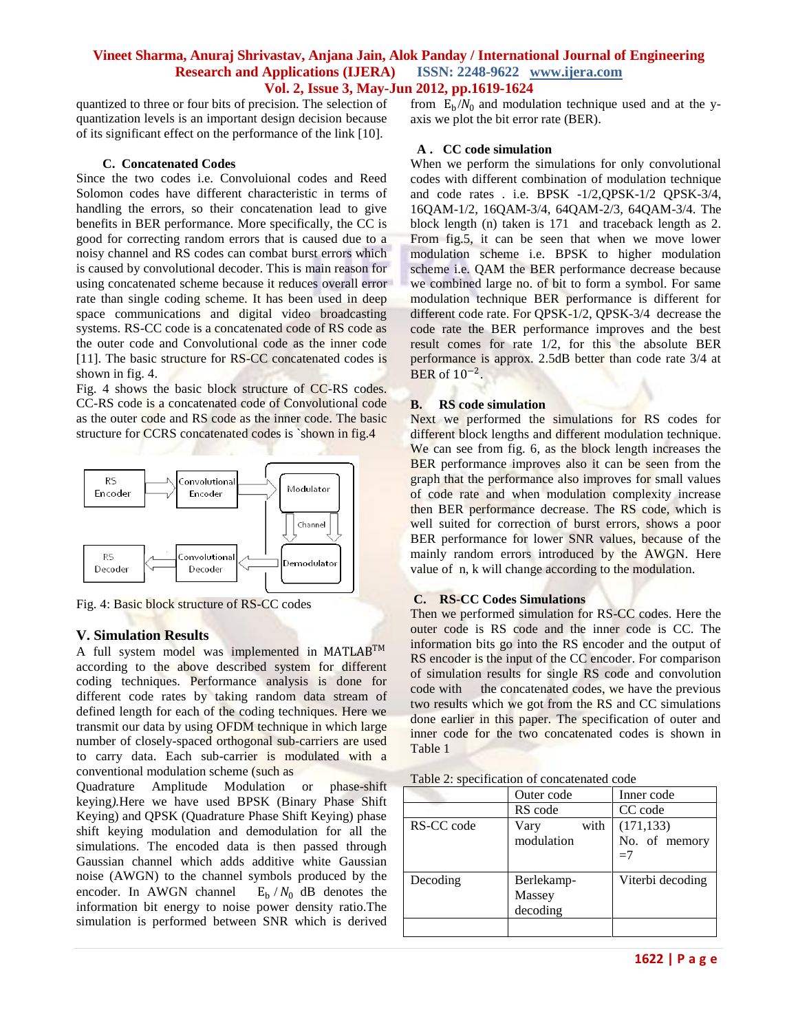quantized to three or four bits of precision. The selection of quantization levels is an important design decision because of its significant effect on the performance of the link [10].

#### **C. Concatenated Codes**

Since the two codes i.e. Convoluional codes and Reed Solomon codes have different characteristic in terms of handling the errors, so their concatenation lead to give benefits in BER performance. More specifically, the CC is good for correcting random errors that is caused due to a noisy channel and RS codes can combat burst errors which is caused by convolutional decoder. This is main reason for using concatenated scheme because it reduces overall error rate than single coding scheme. It has been used in deep space communications and digital video broadcasting systems. RS-CC code is a concatenated code of RS code as the outer code and Convolutional code as the inner code [11]. The basic structure for RS-CC concatenated codes is shown in fig. 4.

Fig. 4 shows the basic block structure of CC-RS codes. CC-RS code is a concatenated code of Convolutional code as the outer code and RS code as the inner code. The basic structure for CCRS concatenated codes is `shown in fig.4



Fig. 4: Basic block structure of RS-CC codes

#### **V. Simulation Results**

A full system model was implemented in MATLABTM according to the above described system for different coding techniques. Performance analysis is done for different code rates by taking random data stream of defined length for each of the coding techniques. Here we transmit our data by using OFDM technique in which large number of closely-spaced [orthogonal](http://en.wikipedia.org/wiki/Orthogonality#Communications) [sub-carriers](http://en.wikipedia.org/wiki/Subcarrier) are used to carry [data.](http://en.wikipedia.org/wiki/Data) Each sub-carrier is modulated with a conventional modulation scheme (such as

[Quadrature Amplitude Modulation](http://en.wikipedia.org/wiki/Quadrature_amplitude_modulation) or [phase-shift](http://en.wikipedia.org/wiki/Phase-shift_keying)  [keying](http://en.wikipedia.org/wiki/Phase-shift_keying)*).*Here we have used BPSK (Binary Phase Shift Keying) and QPSK (Quadrature Phase Shift Keying) phase shift keying modulation and demodulation for all the simulations. The encoded data is then passed through Gaussian channel which adds additive white Gaussian noise (AWGN) to the channel symbols produced by the encoder. In AWGN channel  $E_b / N_0$  dB denotes the information bit energy to noise power density ratio.The simulation is performed between SNR which is derived

from  $E_b/N_0$  and modulation technique used and at the yaxis we plot the bit error rate (BER).

#### **A . CC code simulation**

When we perform the simulations for only convolutional codes with different combination of modulation technique and code rates . i.e. BPSK -1/2,QPSK-1/2 QPSK-3/4, 16QAM-1/2, 16QAM-3/4, 64QAM-2/3, 64QAM-3/4. The block length (n) taken is 171 and traceback length as 2. From fig.5, it can be seen that when we move lower modulation scheme i.e. BPSK to higher modulation scheme i.e. QAM the BER performance decrease because we combined large no. of bit to form a symbol. For same modulation technique BER performance is different for different code rate. For QPSK-1/2, QPSK-3/4 decrease the code rate the BER performance improves and the best result comes for rate 1/2, for this the absolute BER performance is approx. 2.5dB better than code rate 3/4 at BER of  $10^{-2}$ .

#### **B. RS code simulation**

Next we performed the simulations for RS codes for different block lengths and different modulation technique. We can see from fig. 6, as the block length increases the BER performance improves also it can be seen from the graph that the performance also improves for small values of code rate and when modulation complexity increase then BER performance decrease. The RS code, which is well suited for correction of burst errors, shows a poor BER performance for lower SNR values, because of the mainly random errors introduced by the AWGN. Here value of n, k will change according to the modulation.

#### **C. RS-CC Codes Simulations**

Then we performed simulation for RS-CC codes. Here the outer code is RS code and the inner code is CC. The information bits go into the RS encoder and the output of RS encoder is the input of the CC encoder. For comparison of simulation results for single RS code and convolution code with the concatenated codes, we have the previous two results which we got from the RS and CC simulations done earlier in this paper. The specification of outer and inner code for the two concatenated codes is shown in Table 1

| Table 2: specification of concatenated code |  |
|---------------------------------------------|--|
|---------------------------------------------|--|

|            | Outer code                       | Inner code                          |
|------------|----------------------------------|-------------------------------------|
|            | RS code                          | CC code                             |
| RS-CC code | with<br>Vary<br>modulation       | (171, 133)<br>No. of memory<br>$=7$ |
| Decoding   | Berlekamp-<br>Massey<br>decoding | Viterbi decoding                    |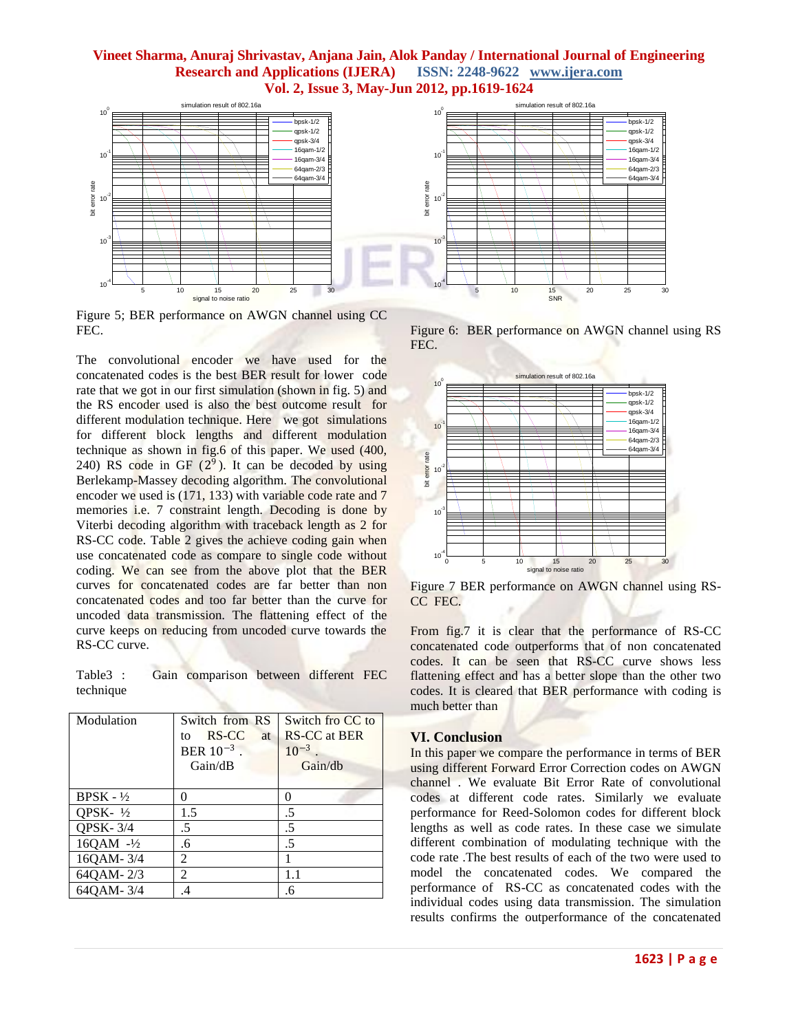

Figure 5; BER performance on AWGN channel using CC FEC.

The convolutional encoder we have used for the concatenated codes is the best BER result for lower code rate that we got in our first simulation (shown in fig. 5) and the RS encoder used is also the best outcome result for different modulation technique. Here we got simulations for different block lengths and different modulation technique as shown in fig.6 of this paper. We used (400, 240) RS code in GF  $(2^9)$ . It can be decoded by using Berlekamp-Massey decoding algorithm. The convolutional encoder we used is (171, 133) with variable code rate and 7 memories i.e. 7 constraint length. Decoding is done by Viterbi decoding algorithm with traceback length as 2 for RS-CC code. Table 2 gives the achieve coding gain when use concatenated code as compare to single code without coding. We can see from the above plot that the BER curves for concatenated codes are far better than non concatenated codes and too far better than the curve for uncoded data transmission. The flattening effect of the curve keeps on reducing from uncoded curve towards the RS-CC curve.

Table3 : Gain comparison between different FEC technique

| Modulation           | Switch from RS<br>RS-CC<br>at<br>to<br>BER $10^{-3}$ .<br>Gain/dB | Switch fro CC to<br><b>RS-CC</b> at BER<br>$10^{-3}$<br>Gain/dh |
|----------------------|-------------------------------------------------------------------|-----------------------------------------------------------------|
| $BPSK - \frac{1}{2}$ |                                                                   | 0                                                               |
| QPSK- $\frac{1}{2}$  | 1.5                                                               | .5                                                              |
| <b>QPSK-3/4</b>      | .5                                                                | .5                                                              |
| 16QAM -1/2           | .6                                                                | .5                                                              |
| 16QAM-3/4            | 2                                                                 |                                                                 |
| 64QAM-2/3            | 2                                                                 | 1.1                                                             |
| 64QAM-3/4            | 4                                                                 | .6                                                              |

Figure 6: BER performance on AWGN channel using RS FEC.



Figure 7 BER performance on AWGN channel using RS-CC FEC.

From fig.7 it is clear that the performance of RS-CC concatenated code outperforms that of non concatenated codes. It can be seen that RS-CC curve shows less flattening effect and has a better slope than the other two codes. It is cleared that BER performance with coding is much better than

#### **VI. Conclusion**

In this paper we compare the performance in terms of BER using different Forward Error Correction codes on AWGN channel . We evaluate Bit Error Rate of convolutional codes at different code rates. Similarly we evaluate performance for Reed-Solomon codes for different block lengths as well as code rates. In these case we simulate different combination of modulating technique with the code rate .The best results of each of the two were used to model the concatenated codes. We compared the performance of RS-CC as concatenated codes with the individual codes using data transmission. The simulation results confirms the outperformance of the concatenated